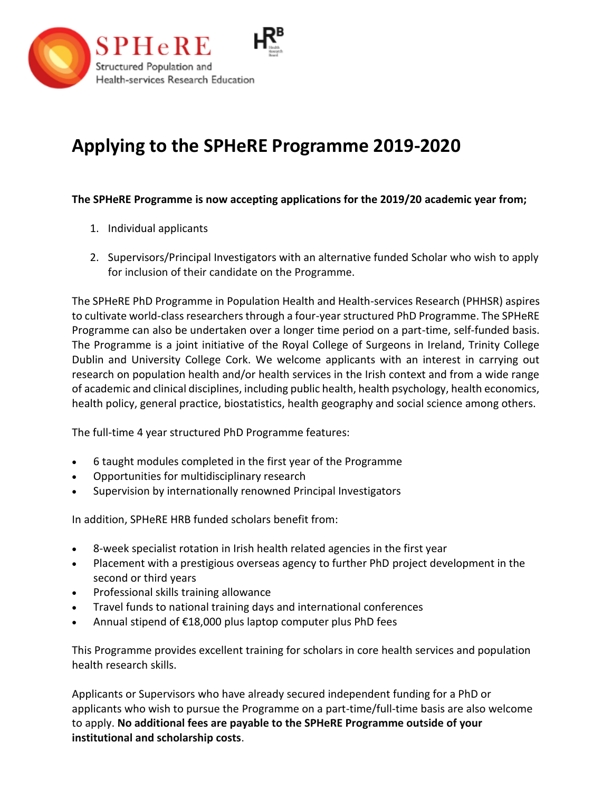

## **Applying to the SPHeRE Programme 2019-2020**

**The SPHeRE Programme is now accepting applications for the 2019/20 academic year from;**

- 1. Individual applicants
- 2. Supervisors/Principal Investigators with an alternative funded Scholar who wish to apply for inclusion of their candidate on the Programme.

The SPHeRE PhD Programme in Population Health and Health-services Research (PHHSR) aspires to cultivate world-class researchers through a four-year structured PhD Programme. The SPHeRE Programme can also be undertaken over a longer time period on a part-time, self-funded basis. The Programme is a joint initiative of the Royal College of Surgeons in Ireland, Trinity College Dublin and University College Cork. We welcome applicants with an interest in carrying out research on population health and/or health services in the Irish context and from a wide range of academic and clinical disciplines, including public health, health psychology, health economics, health policy, general practice, biostatistics, health geography and social science among others.

The full-time 4 year structured PhD Programme features:

- 6 taught modules completed in the first year of the Programme
- Opportunities for multidisciplinary research
- Supervision by internationally renowned Principal Investigators

In addition, SPHeRE HRB funded scholars benefit from:

- 8-week specialist rotation in Irish health related agencies in the first year
- Placement with a prestigious overseas agency to further PhD project development in the second or third years
- Professional skills training allowance
- Travel funds to national training days and international conferences
- Annual stipend of €18,000 plus laptop computer plus PhD fees

This Programme provides excellent training for scholars in core health services and population health research skills.

Applicants or Supervisors who have already secured independent funding for a PhD or applicants who wish to pursue the Programme on a part-time/full-time basis are also welcome to apply. **No additional fees are payable to the SPHeRE Programme outside of your institutional and scholarship costs**.